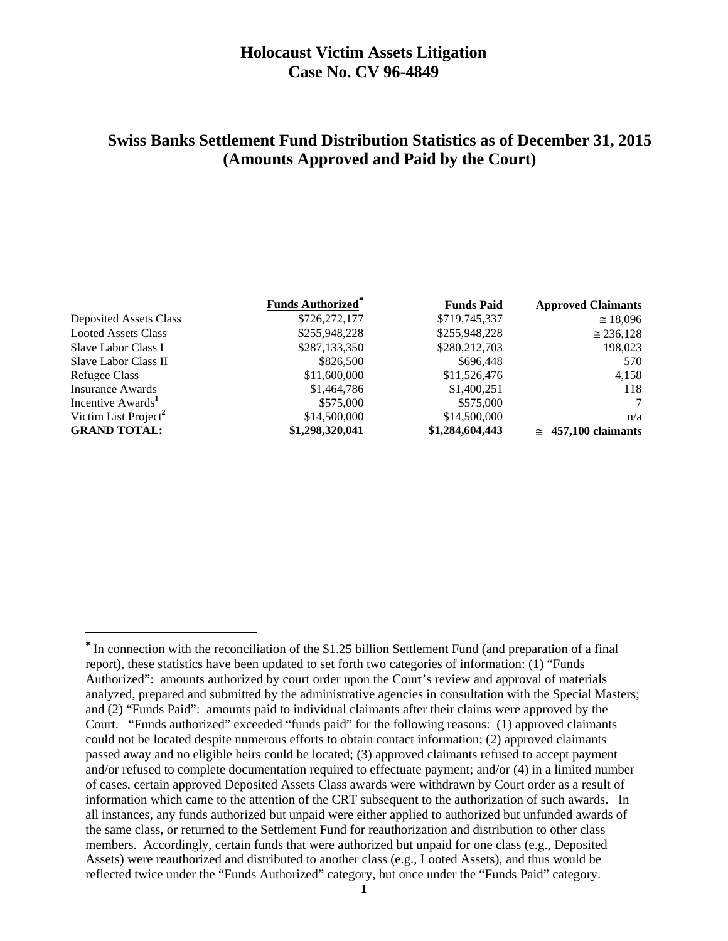## **Holocaust Victim Assets Litigation Case No. CV 96-4849**

# **Swiss Banks Settlement Fund Distribution Statistics as of December 31, 2015 (Amounts Approved and Paid by the Court)**

|                                  | <b>Funds Authorized</b> * | <b>Funds Paid</b> | <b>Approved Claimants</b>   |
|----------------------------------|---------------------------|-------------------|-----------------------------|
| <b>Deposited Assets Class</b>    | \$726,272,177             | \$719,745,337     | $\approx$ 18,096            |
| <b>Looted Assets Class</b>       | \$255,948,228             | \$255,948,228     | $\approx 236,128$           |
| Slave Labor Class I              | \$287,133,350             | \$280,212,703     | 198,023                     |
| Slave Labor Class II             | \$826,500                 | \$696,448         | 570                         |
| Refugee Class                    | \$11,600,000              | \$11,526,476      | 4,158                       |
| Insurance Awards                 | \$1,464,786               | \$1,400,251       | 118                         |
| Incentive Awards <sup>1</sup>    | \$575,000                 | \$575,000         |                             |
| Victim List Project <sup>2</sup> | \$14,500,000              | \$14,500,000      | n/a                         |
| <b>GRAND TOTAL:</b>              | \$1,298,320,041           | \$1,284,604,443   | $\approx 457,100$ claimants |

<sup>&</sup>lt;sup>\*</sup> In connection with the reconciliation of the \$1.25 billion Settlement Fund (and preparation of a final report), these statistics have been updated to set forth two categories of information: (1) "Funds Authorized": amounts authorized by court order upon the Court's review and approval of materials analyzed, prepared and submitted by the administrative agencies in consultation with the Special Masters; and (2) "Funds Paid": amounts paid to individual claimants after their claims were approved by the Court. "Funds authorized" exceeded "funds paid" for the following reasons: (1) approved claimants could not be located despite numerous efforts to obtain contact information; (2) approved claimants passed away and no eligible heirs could be located; (3) approved claimants refused to accept payment and/or refused to complete documentation required to effectuate payment; and/or (4) in a limited number of cases, certain approved Deposited Assets Class awards were withdrawn by Court order as a result of information which came to the attention of the CRT subsequent to the authorization of such awards. In all instances, any funds authorized but unpaid were either applied to authorized but unfunded awards of the same class, or returned to the Settlement Fund for reauthorization and distribution to other class members. Accordingly, certain funds that were authorized but unpaid for one class (e.g., Deposited Assets) were reauthorized and distributed to another class (e.g., Looted Assets), and thus would be reflected twice under the "Funds Authorized" category, but once under the "Funds Paid" category.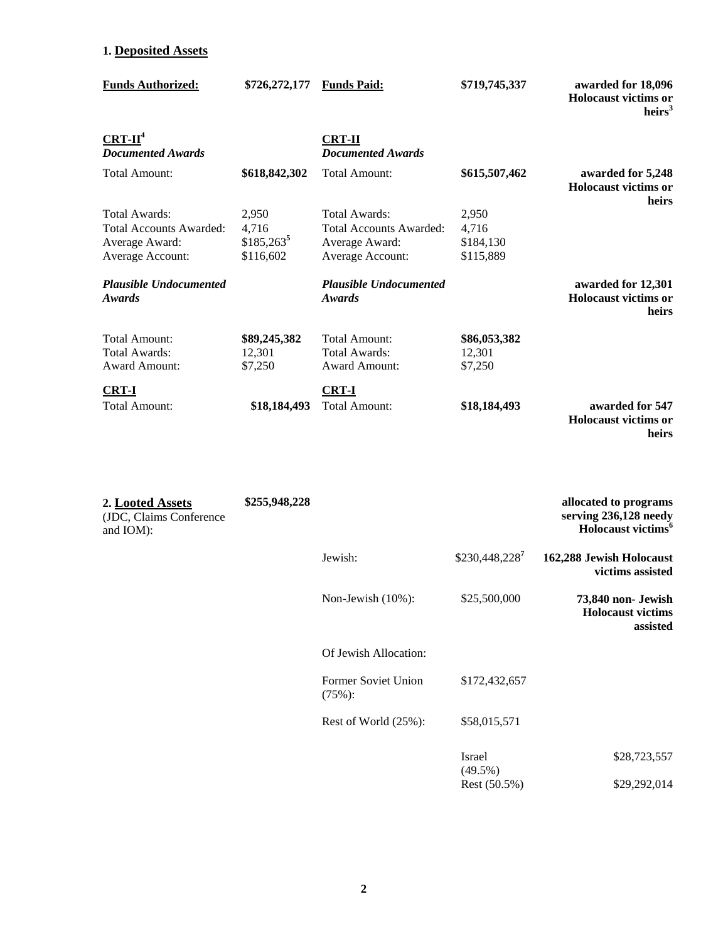### **1. Deposited Assets**

| <b>Funds Authorized:</b>                | \$726,272,177 | <b>Funds Paid:</b>                        | \$719,745,337 | awarded for 18,096<br><b>Holocaust victims or</b><br>heirs <sup>3</sup> |
|-----------------------------------------|---------------|-------------------------------------------|---------------|-------------------------------------------------------------------------|
| $CRT-II4$<br><b>Documented Awards</b>   |               | <b>CRT-II</b><br><b>Documented Awards</b> |               |                                                                         |
| Total Amount:                           | \$618,842,302 | Total Amount:                             | \$615,507,462 | awarded for 5,248<br>Holocaust victims or<br>heirs                      |
| Total Awards:                           | 2,950         | Total Awards:                             | 2,950         |                                                                         |
| <b>Total Accounts Awarded:</b>          | 4,716         | <b>Total Accounts Awarded:</b>            | 4,716         |                                                                         |
| Average Award:                          | $$185,263^5$  | Average Award:                            | \$184,130     |                                                                         |
| Average Account:                        | \$116,602     | Average Account:                          | \$115,889     |                                                                         |
| <b>Plausible Undocumented</b><br>Awards |               | <b>Plausible Undocumented</b><br>Awards   |               | awarded for 12,301<br><b>Holocaust victims or</b><br>heirs              |
| Total Amount:                           | \$89,245,382  | <b>Total Amount:</b>                      | \$86,053,382  |                                                                         |
| Total Awards:                           | 12,301        | Total Awards:                             | 12,301        |                                                                         |
| <b>Award Amount:</b>                    | \$7,250       | <b>Award Amount:</b>                      | \$7,250       |                                                                         |
| <b>CRT-I</b>                            |               | <b>CRT-I</b>                              |               |                                                                         |
| Total Amount:                           | \$18,184,493  | Total Amount:                             | \$18,184,493  | awarded for 547                                                         |
|                                         |               |                                           |               | <b>Holocaust victims or</b>                                             |

**heirs** 

| 2. Looted Assets<br>(JDC, Claims Conference<br>and IOM): | \$255,948,228 |                                      |                             | allocated to programs<br>serving 236,128 needy<br>Holocaust victims <sup>6</sup> |
|----------------------------------------------------------|---------------|--------------------------------------|-----------------------------|----------------------------------------------------------------------------------|
|                                                          |               | Jewish:                              | \$230,448,2287              | 162,288 Jewish Holocaust<br>victims assisted                                     |
|                                                          |               | Non-Jewish (10%):                    | \$25,500,000                | 73,840 non- Jewish<br><b>Holocaust</b> victims<br>assisted                       |
|                                                          |               | Of Jewish Allocation:                |                             |                                                                                  |
|                                                          |               | <b>Former Soviet Union</b><br>(75%): | \$172,432,657               |                                                                                  |
|                                                          |               | Rest of World (25%):                 | \$58,015,571                |                                                                                  |
|                                                          |               |                                      | <b>Israel</b><br>$(49.5\%)$ | \$28,723,557                                                                     |
|                                                          |               |                                      | Rest (50.5%)                | \$29,292,014                                                                     |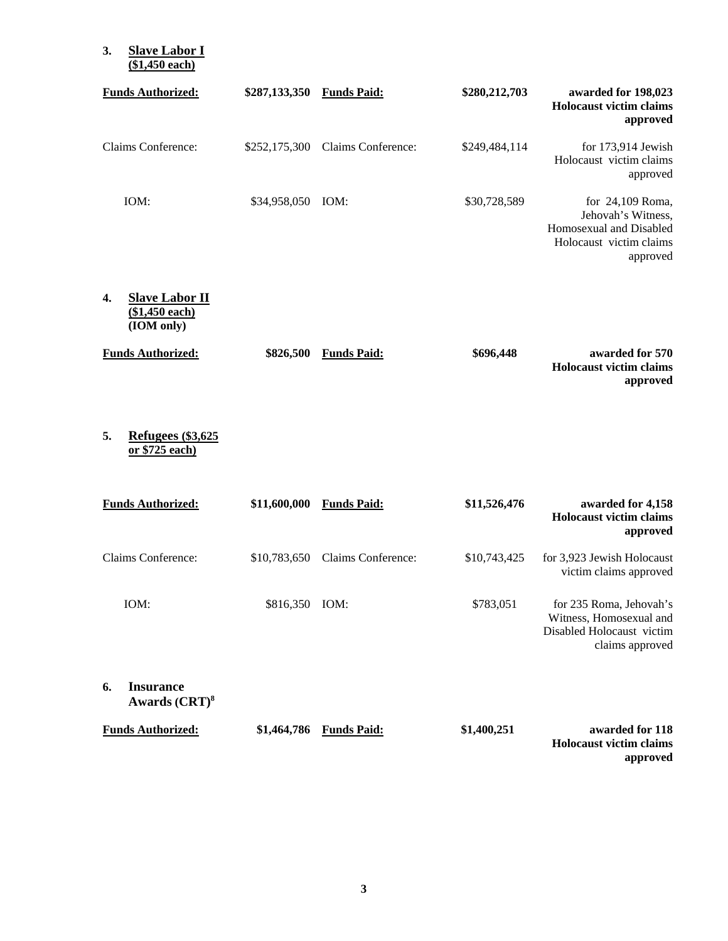#### **3. Slave Labor I (\$1,450 each)**

| <b>Funds Authorized:</b>                                    | \$287,133,350 | <b>Funds Paid:</b>               | \$280,212,703 | awarded for 198,023<br><b>Holocaust victim claims</b><br>approved                                          |
|-------------------------------------------------------------|---------------|----------------------------------|---------------|------------------------------------------------------------------------------------------------------------|
| Claims Conference:                                          |               | \$252,175,300 Claims Conference: | \$249,484,114 | for $173,914$ Jewish<br>Holocaust victim claims<br>approved                                                |
| IOM:                                                        | \$34,958,050  | IOM:                             | \$30,728,589  | for $24,109$ Roma,<br>Jehovah's Witness,<br>Homosexual and Disabled<br>Holocaust victim claims<br>approved |
| <b>Slave Labor II</b><br>4.<br>(\$1,450 each)<br>(IOM only) |               |                                  |               |                                                                                                            |
| <b>Funds Authorized:</b>                                    | \$826,500     | <b>Funds Paid:</b>               | \$696,448     | awarded for 570<br><b>Holocaust victim claims</b><br>approved                                              |

**5. Refugees (\$3,625 or \$725 each)** 

| <b>Funds Authorized:</b>                   | \$11,600,000 | <b>Funds Paid:</b> | \$11,526,476 | awarded for 4,158<br><b>Holocaust victim claims</b><br>approved                                    |
|--------------------------------------------|--------------|--------------------|--------------|----------------------------------------------------------------------------------------------------|
| Claims Conference:                         | \$10,783,650 | Claims Conference: | \$10,743,425 | for 3,923 Jewish Holocaust<br>victim claims approved                                               |
| IOM:                                       | \$816,350    | IOM:               | \$783,051    | for 235 Roma, Jehovah's<br>Witness, Homosexual and<br>Disabled Holocaust victim<br>claims approved |
| <b>Insurance</b><br>6.<br>Awards $(CRT)^8$ |              |                    |              |                                                                                                    |
| <b>Funds Authorized:</b>                   | \$1,464,786  | <b>Funds Paid:</b> | \$1,400,251  | awarded for 118<br><b>Holocaust victim claims</b>                                                  |

**approved**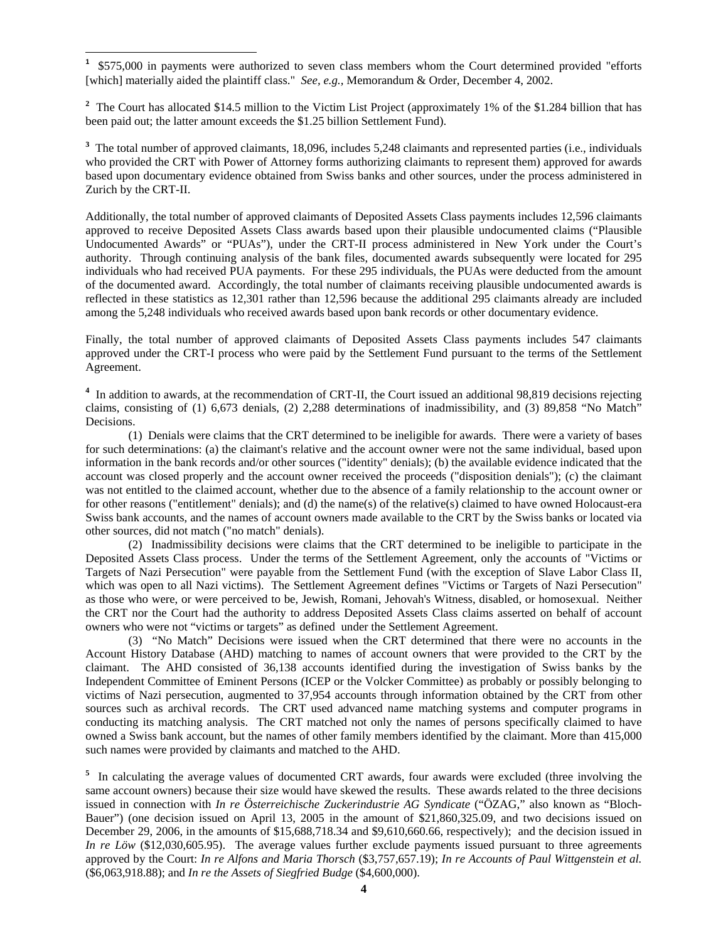**1** \$575,000 in payments were authorized to seven class members whom the Court determined provided "efforts [which] materially aided the plaintiff class." *See, e.g.,* Memorandum & Order, December 4, 2002.

<sup>2</sup> The Court has allocated \$14.5 million to the Victim List Project (approximately 1% of the \$1.284 billion that has been paid out; the latter amount exceeds the \$1.25 billion Settlement Fund).

<sup>3</sup> The total number of approved claimants, 18,096, includes 5,248 claimants and represented parties (i.e., individuals who provided the CRT with Power of Attorney forms authorizing claimants to represent them) approved for awards based upon documentary evidence obtained from Swiss banks and other sources, under the process administered in Zurich by the CRT-II.

Additionally, the total number of approved claimants of Deposited Assets Class payments includes 12,596 claimants approved to receive Deposited Assets Class awards based upon their plausible undocumented claims ("Plausible Undocumented Awards" or "PUAs"), under the CRT-II process administered in New York under the Court's authority. Through continuing analysis of the bank files, documented awards subsequently were located for 295 individuals who had received PUA payments. For these 295 individuals, the PUAs were deducted from the amount of the documented award. Accordingly, the total number of claimants receiving plausible undocumented awards is reflected in these statistics as 12,301 rather than 12,596 because the additional 295 claimants already are included among the 5,248 individuals who received awards based upon bank records or other documentary evidence.

Finally, the total number of approved claimants of Deposited Assets Class payments includes 547 claimants approved under the CRT-I process who were paid by the Settlement Fund pursuant to the terms of the Settlement Agreement.

<sup>4</sup> In addition to awards, at the recommendation of CRT-II, the Court issued an additional 98,819 decisions rejecting claims, consisting of (1) 6,673 denials, (2) 2,288 determinations of inadmissibility, and (3) 89,858 "No Match" Decisions.

 (1) Denials were claims that the CRT determined to be ineligible for awards. There were a variety of bases for such determinations: (a) the claimant's relative and the account owner were not the same individual, based upon information in the bank records and/or other sources ("identity" denials); (b) the available evidence indicated that the account was closed properly and the account owner received the proceeds ("disposition denials"); (c) the claimant was not entitled to the claimed account, whether due to the absence of a family relationship to the account owner or for other reasons ("entitlement" denials); and (d) the name(s) of the relative(s) claimed to have owned Holocaust-era Swiss bank accounts, and the names of account owners made available to the CRT by the Swiss banks or located via other sources, did not match ("no match" denials).

 (2) Inadmissibility decisions were claims that the CRT determined to be ineligible to participate in the Deposited Assets Class process. Under the terms of the Settlement Agreement, only the accounts of "Victims or Targets of Nazi Persecution" were payable from the Settlement Fund (with the exception of Slave Labor Class II, which was open to all Nazi victims). The Settlement Agreement defines "Victims or Targets of Nazi Persecution" as those who were, or were perceived to be, Jewish, Romani, Jehovah's Witness, disabled, or homosexual. Neither the CRT nor the Court had the authority to address Deposited Assets Class claims asserted on behalf of account owners who were not "victims or targets" as defined under the Settlement Agreement.

(3) "No Match" Decisions were issued when the CRT determined that there were no accounts in the Account History Database (AHD) matching to names of account owners that were provided to the CRT by the claimant. The AHD consisted of 36,138 accounts identified during the investigation of Swiss banks by the Independent Committee of Eminent Persons (ICEP or the Volcker Committee) as probably or possibly belonging to victims of Nazi persecution, augmented to 37,954 accounts through information obtained by the CRT from other sources such as archival records. The CRT used advanced name matching systems and computer programs in conducting its matching analysis. The CRT matched not only the names of persons specifically claimed to have owned a Swiss bank account, but the names of other family members identified by the claimant. More than 415,000 such names were provided by claimants and matched to the AHD.

<sup>5</sup> In calculating the average values of documented CRT awards, four awards were excluded (three involving the same account owners) because their size would have skewed the results. These awards related to the three decisions issued in connection with *In re Österreichische Zuckerindustrie AG Syndicate* ("ÖZAG," also known as "Bloch-Bauer") (one decision issued on April 13, 2005 in the amount of \$21,860,325.09, and two decisions issued on December 29, 2006, in the amounts of \$15,688,718.34 and \$9,610,660.66, respectively); and the decision issued in *In re Löw* (\$12,030,605.95). The average values further exclude payments issued pursuant to three agreements approved by the Court: *In re Alfons and Maria Thorsch* (\$3,757,657.19); *In re Accounts of Paul Wittgenstein et al.*  (\$6,063,918.88); and *In re the Assets of Siegfried Budge* (\$4,600,000).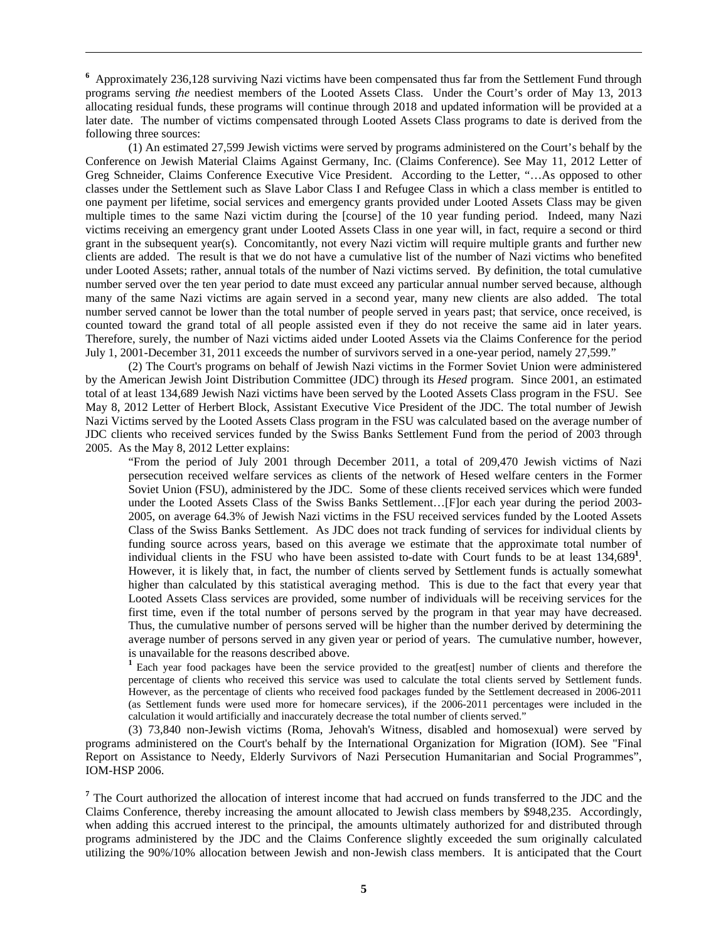<sup>6</sup> Approximately 236,128 surviving Nazi victims have been compensated thus far from the Settlement Fund through programs serving *the* neediest members of the Looted Assets Class. Under the Court's order of May 13, 2013 allocating residual funds, these programs will continue through 2018 and updated information will be provided at a later date. The number of victims compensated through Looted Assets Class programs to date is derived from the following three sources:

<u> 1989 - Johann Stoff, amerikansk politiker (d. 1989)</u>

 (1) An estimated 27,599 Jewish victims were served by programs administered on the Court's behalf by the Conference on Jewish Material Claims Against Germany, Inc. (Claims Conference). See May 11, 2012 Letter of Greg Schneider, Claims Conference Executive Vice President. According to the Letter, "…As opposed to other classes under the Settlement such as Slave Labor Class I and Refugee Class in which a class member is entitled to one payment per lifetime, social services and emergency grants provided under Looted Assets Class may be given multiple times to the same Nazi victim during the [course] of the 10 year funding period. Indeed, many Nazi victims receiving an emergency grant under Looted Assets Class in one year will, in fact, require a second or third grant in the subsequent year(s). Concomitantly, not every Nazi victim will require multiple grants and further new clients are added. The result is that we do not have a cumulative list of the number of Nazi victims who benefited under Looted Assets; rather, annual totals of the number of Nazi victims served. By definition, the total cumulative number served over the ten year period to date must exceed any particular annual number served because, although many of the same Nazi victims are again served in a second year, many new clients are also added. The total number served cannot be lower than the total number of people served in years past; that service, once received, is counted toward the grand total of all people assisted even if they do not receive the same aid in later years. Therefore, surely, the number of Nazi victims aided under Looted Assets via the Claims Conference for the period July 1, 2001-December 31, 2011 exceeds the number of survivors served in a one-year period, namely 27,599."

 (2) The Court's programs on behalf of Jewish Nazi victims in the Former Soviet Union were administered by the American Jewish Joint Distribution Committee (JDC) through its *Hesed* program. Since 2001, an estimated total of at least 134,689 Jewish Nazi victims have been served by the Looted Assets Class program in the FSU. See May 8, 2012 Letter of Herbert Block, Assistant Executive Vice President of the JDC. The total number of Jewish Nazi Victims served by the Looted Assets Class program in the FSU was calculated based on the average number of JDC clients who received services funded by the Swiss Banks Settlement Fund from the period of 2003 through 2005. As the May 8, 2012 Letter explains:

"From the period of July 2001 through December 2011, a total of 209,470 Jewish victims of Nazi persecution received welfare services as clients of the network of Hesed welfare centers in the Former Soviet Union (FSU), administered by the JDC. Some of these clients received services which were funded under the Looted Assets Class of the Swiss Banks Settlement…[F]or each year during the period 2003- 2005, on average 64.3% of Jewish Nazi victims in the FSU received services funded by the Looted Assets Class of the Swiss Banks Settlement. As JDC does not track funding of services for individual clients by funding source across years, based on this average we estimate that the approximate total number of individual clients in the FSU who have been assisted to-date with Court funds to be at least 134,689**<sup>1</sup>** . However, it is likely that, in fact, the number of clients served by Settlement funds is actually somewhat higher than calculated by this statistical averaging method. This is due to the fact that every year that Looted Assets Class services are provided, some number of individuals will be receiving services for the first time, even if the total number of persons served by the program in that year may have decreased. Thus, the cumulative number of persons served will be higher than the number derived by determining the average number of persons served in any given year or period of years. The cumulative number, however, is unavailable for the reasons described above.

**<sup>1</sup>**Each year food packages have been the service provided to the great[est] number of clients and therefore the percentage of clients who received this service was used to calculate the total clients served by Settlement funds. However, as the percentage of clients who received food packages funded by the Settlement decreased in 2006-2011 (as Settlement funds were used more for homecare services), if the 2006-2011 percentages were included in the calculation it would artificially and inaccurately decrease the total number of clients served."

 (3) 73,840 non-Jewish victims (Roma, Jehovah's Witness, disabled and homosexual) were served by programs administered on the Court's behalf by the International Organization for Migration (IOM). See "Final Report on Assistance to Needy, Elderly Survivors of Nazi Persecution Humanitarian and Social Programmes", IOM-HSP 2006.

<sup>7</sup> The Court authorized the allocation of interest income that had accrued on funds transferred to the JDC and the Claims Conference, thereby increasing the amount allocated to Jewish class members by \$948,235. Accordingly, when adding this accrued interest to the principal, the amounts ultimately authorized for and distributed through programs administered by the JDC and the Claims Conference slightly exceeded the sum originally calculated utilizing the 90%/10% allocation between Jewish and non-Jewish class members. It is anticipated that the Court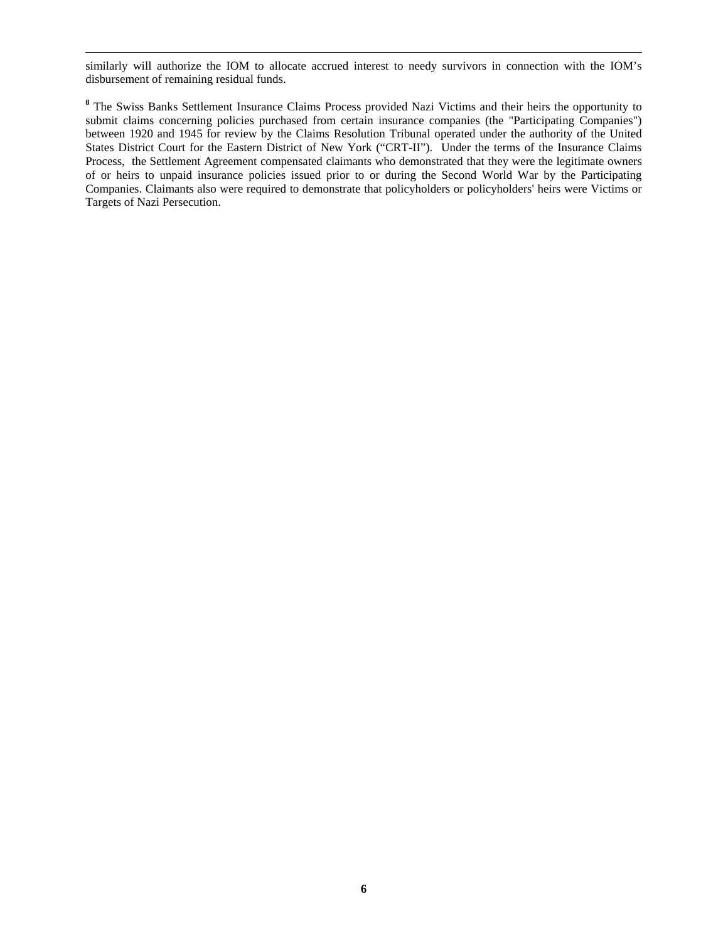<u> 1989 - Johann Stoff, amerikansk politiker (d. 1989)</u> similarly will authorize the IOM to allocate accrued interest to needy survivors in connection with the IOM's disbursement of remaining residual funds.

<sup>8</sup> The Swiss Banks Settlement Insurance Claims Process provided Nazi Victims and their heirs the opportunity to submit claims concerning policies purchased from certain insurance companies (the "Participating Companies") between 1920 and 1945 for review by the Claims Resolution Tribunal operated under the authority of the United States District Court for the Eastern District of New York ("CRT-II"). Under the terms of the Insurance Claims Process, the Settlement Agreement compensated claimants who demonstrated that they were the legitimate owners of or heirs to unpaid insurance policies issued prior to or during the Second World War by the Participating Companies. Claimants also were required to demonstrate that policyholders or policyholders' heirs were Victims or Targets of Nazi Persecution.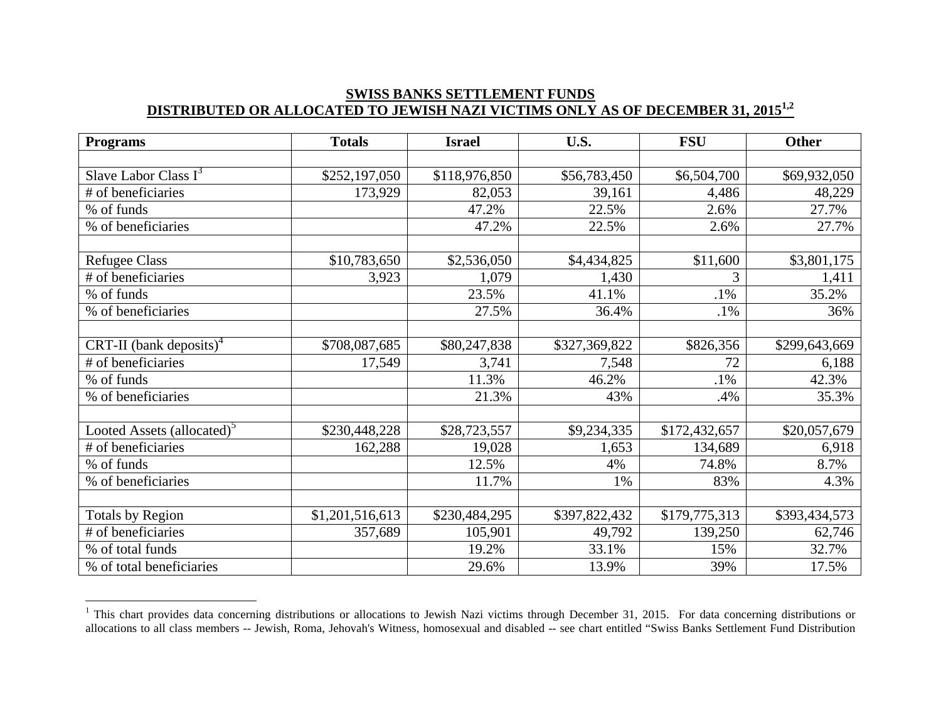#### **SWISS BANKS SETTLEMENT FUNDS DISTRIBUTED OR ALLOCATED TO JEWISH NAZI VICTIMS ONLY AS OF DECEMBER 31, 20151,2**

| <b>Programs</b>                        | <b>Totals</b>   | <b>Israel</b> | U.S.          | <b>FSU</b>    | Other         |
|----------------------------------------|-----------------|---------------|---------------|---------------|---------------|
|                                        |                 |               |               |               |               |
| Slave Labor Class $I^3$                | \$252,197,050   | \$118,976,850 | \$56,783,450  | \$6,504,700   | \$69,932,050  |
| # of beneficiaries                     | 173,929         | 82,053        | 39,161        | 4,486         | 48,229        |
| % of funds                             |                 | 47.2%         | 22.5%         | 2.6%          | 27.7%         |
| % of beneficiaries                     |                 | 47.2%         | 22.5%         | 2.6%          | 27.7%         |
|                                        |                 |               |               |               |               |
| <b>Refugee Class</b>                   | \$10,783,650    | \$2,536,050   | \$4,434,825   | \$11,600      | \$3,801,175   |
| # of beneficiaries                     | 3,923           | 1,079         | 1,430         | 3             | 1,411         |
| % of funds                             |                 | 23.5%         | 41.1%         | $.1\%$        | 35.2%         |
| % of beneficiaries                     |                 | 27.5%         | 36.4%         | $.1\%$        | 36%           |
|                                        |                 |               |               |               |               |
| CRT-II (bank deposits) <sup>4</sup>    | \$708,087,685   | \$80,247,838  | \$327,369,822 | \$826,356     | \$299,643,669 |
| # of beneficiaries                     | 17,549          | 3,741         | 7,548         | 72            | 6,188         |
| % of funds                             |                 | 11.3%         | 46.2%         | $.1\%$        | 42.3%         |
| % of beneficiaries                     |                 | 21.3%         | 43%           | .4%           | 35.3%         |
|                                        |                 |               |               |               |               |
| Looted Assets (allocated) <sup>5</sup> | \$230,448,228   | \$28,723,557  | \$9,234,335   | \$172,432,657 | \$20,057,679  |
| # of beneficiaries                     | 162,288         | 19,028        | 1,653         | 134,689       | 6,918         |
| % of funds                             |                 | 12.5%         | 4%            | 74.8%         | 8.7%          |
| % of beneficiaries                     |                 | 11.7%         | 1%            | 83%           | 4.3%          |
|                                        |                 |               |               |               |               |
| <b>Totals by Region</b>                | \$1,201,516,613 | \$230,484,295 | \$397,822,432 | \$179,775,313 | \$393,434,573 |
| # of beneficiaries                     | 357,689         | 105,901       | 49,792        | 139,250       | 62,746        |
| % of total funds                       |                 | 19.2%         | 33.1%         | 15%           | 32.7%         |
| % of total beneficiaries               |                 | 29.6%         | 13.9%         | 39%           | 17.5%         |

<sup>&</sup>lt;sup>1</sup> This chart provides data concerning distributions or allocations to Jewish Nazi victims through December 31, 2015. For data concerning distributions or allocations to all class members -- Jewish, Roma, Jehovah's Witness, homosexual and disabled -- see chart entitled "Swiss Banks Settlement Fund Distribution